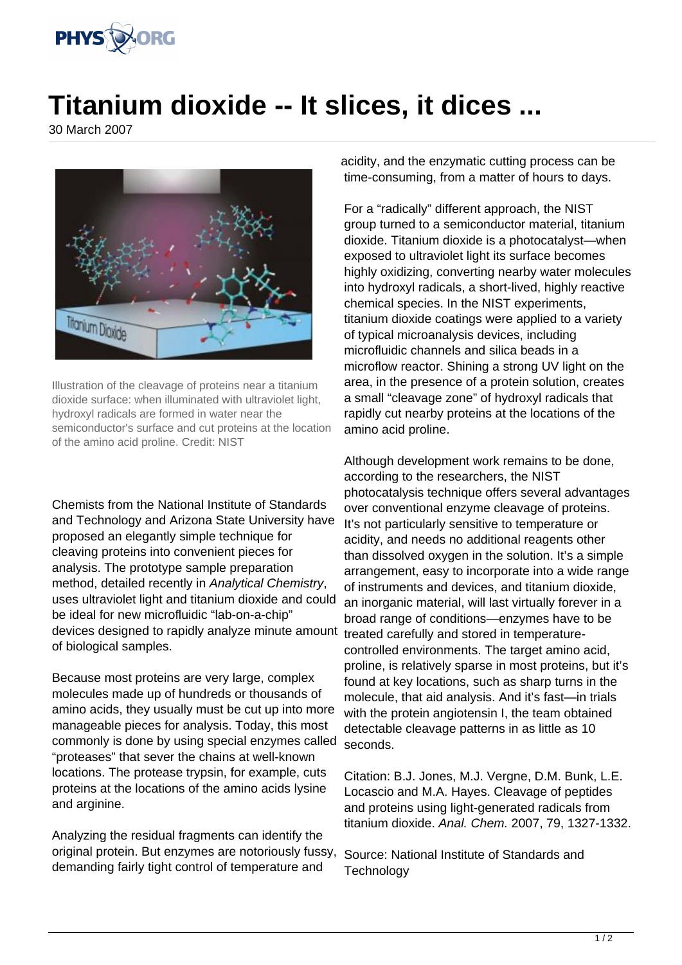

## **Titanium dioxide -- It slices, it dices ...**

30 March 2007



Illustration of the cleavage of proteins near a titanium dioxide surface: when illuminated with ultraviolet light, hydroxyl radicals are formed in water near the semiconductor's surface and cut proteins at the location of the amino acid proline. Credit: NIST

Chemists from the National Institute of Standards and Technology and Arizona State University have proposed an elegantly simple technique for cleaving proteins into convenient pieces for analysis. The prototype sample preparation method, detailed recently in Analytical Chemistry, uses ultraviolet light and titanium dioxide and could be ideal for new microfluidic "lab-on-a-chip" devices designed to rapidly analyze minute amount of biological samples.

Because most proteins are very large, complex molecules made up of hundreds or thousands of amino acids, they usually must be cut up into more manageable pieces for analysis. Today, this most commonly is done by using special enzymes called "proteases" that sever the chains at well-known locations. The protease trypsin, for example, cuts proteins at the locations of the amino acids lysine and arginine.

Analyzing the residual fragments can identify the original protein. But enzymes are notoriously fussy, demanding fairly tight control of temperature and

acidity, and the enzymatic cutting process can be time-consuming, from a matter of hours to days.

For a "radically" different approach, the NIST group turned to a semiconductor material, titanium dioxide. Titanium dioxide is a photocatalyst—when exposed to ultraviolet light its surface becomes highly oxidizing, converting nearby water molecules into hydroxyl radicals, a short-lived, highly reactive chemical species. In the NIST experiments, titanium dioxide coatings were applied to a variety of typical microanalysis devices, including microfluidic channels and silica beads in a microflow reactor. Shining a strong UV light on the area, in the presence of a protein solution, creates a small "cleavage zone" of hydroxyl radicals that rapidly cut nearby proteins at the locations of the amino acid proline.

Although development work remains to be done, according to the researchers, the NIST photocatalysis technique offers several advantages over conventional enzyme cleavage of proteins. It's not particularly sensitive to temperature or acidity, and needs no additional reagents other than dissolved oxygen in the solution. It's a simple arrangement, easy to incorporate into a wide range of instruments and devices, and titanium dioxide, an inorganic material, will last virtually forever in a broad range of conditions—enzymes have to be treated carefully and stored in temperaturecontrolled environments. The target amino acid, proline, is relatively sparse in most proteins, but it's found at key locations, such as sharp turns in the molecule, that aid analysis. And it's fast—in trials with the protein angiotensin I, the team obtained detectable cleavage patterns in as little as 10 seconds.

Citation: B.J. Jones, M.J. Vergne, D.M. Bunk, L.E. Locascio and M.A. Hayes. Cleavage of peptides and proteins using light-generated radicals from titanium dioxide. Anal. Chem. 2007, 79, 1327-1332.

Source: National Institute of Standards and **Technology**